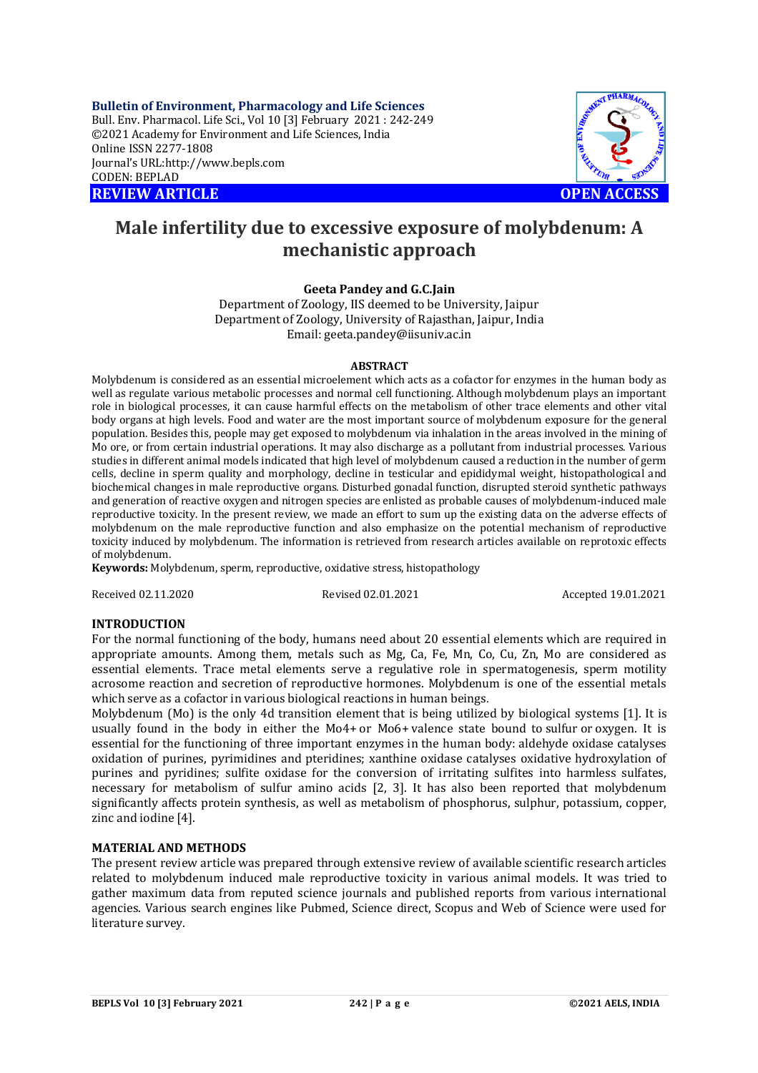**Bulletin of Environment, Pharmacology and Life Sciences** Bull. Env. Pharmacol. Life Sci., Vol 10 [3] February 2021 : 242-249 ©2021 Academy for Environment and Life Sciences, India Online ISSN 2277-1808 Journal's URL:<http://www.bepls.com> CODEN: BEPLAD **REVIEW ARTICLE OPEN ACCESS** 



# **Male infertility due to excessive exposure of molybdenum: A mechanistic approach**

# **Geeta Pandey and G.C.Jain**

Department of Zoology, IIS deemed to be University, Jaipur Department of Zoology, University of Rajasthan, Jaipur, India Email: [geeta.pandey@iisuniv.ac.in](mailto:geeta.pandey@iisuniv.ac.in)

## **ABSTRACT**

Molybdenum is considered as an essential microelement which acts as a cofactor for enzymes in the human body as well as regulate various metabolic processes and normal cell functioning. Although molybdenum plays an important role in biological processes, it can cause harmful effects on the metabolism of other trace elements and other vital body organs at high levels. Food and water are the most important source of molybdenum exposure for the general population. Besides this, people may get exposed to molybdenum via inhalation in the areas involved in the mining of Mo ore, or from certain industrial operations. It may also discharge as a pollutant from industrial processes. Various studies in different animal models indicated that high level of molybdenum caused a reduction in the number of germ cells, decline in sperm quality and morphology, decline in testicular and epididymal weight, histopathological and biochemical changes in male reproductive organs. Disturbed gonadal function, disrupted steroid synthetic pathways and generation of reactive oxygen and nitrogen species are enlisted as probable causes of molybdenum-induced male reproductive toxicity. In the present review, we made an effort to sum up the existing data on the adverse effects of molybdenum on the male reproductive function and also emphasize on the potential mechanism of reproductive toxicity induced by molybdenum. The information is retrieved from research articles available on reprotoxic effects of molybdenum.

**Keywords:** Molybdenum, sperm, reproductive, oxidative stress, histopathology

Received 02.11.2020 Revised 02.01.2021 Accepted 19.01.2021

## **INTRODUCTION**

For the normal functioning of the body, humans need about 20 essential elements which are required in appropriate amounts. Among them, metals such as Mg, Ca, Fe, Mn, Co, Cu, Zn, Mo are considered as essential elements. Trace metal elements serve a regulative role in spermatogenesis, sperm motility acrosome reaction and secretion of reproductive hormones. Molybdenum is one of the essential metals which serve as a cofactor in various biological reactions in human beings.

Molybdenum (Mo) is the only 4d transition element that is being utilized by biological systems [1]. It is usually found in the body in either the Mo4+ or Mo6+ valence state bound to sulfur or oxygen. It is essential for the functioning of three important enzymes in the human body: aldehyde oxidase catalyses oxidation of purines, pyrimidines and pteridines; xanthine oxidase catalyses oxidative hydroxylation of purines and pyridines; sulfite oxidase for the conversion of irritating sulfites into harmless sulfates, necessary for metabolism of sulfur amino acids [2, 3]. It has also been reported that molybdenum significantly affects protein synthesis, as well as metabolism of phosphorus, sulphur, potassium, copper, zinc and iodine [4].

## **MATERIAL AND METHODS**

The present review article was prepared through extensive review of available scientific research articles related to molybdenum induced male reproductive toxicity in various animal models. It was tried to gather maximum data from reputed science journals and published reports from various international agencies. Various search engines like Pubmed, Science direct, Scopus and Web of Science were used for literature survey.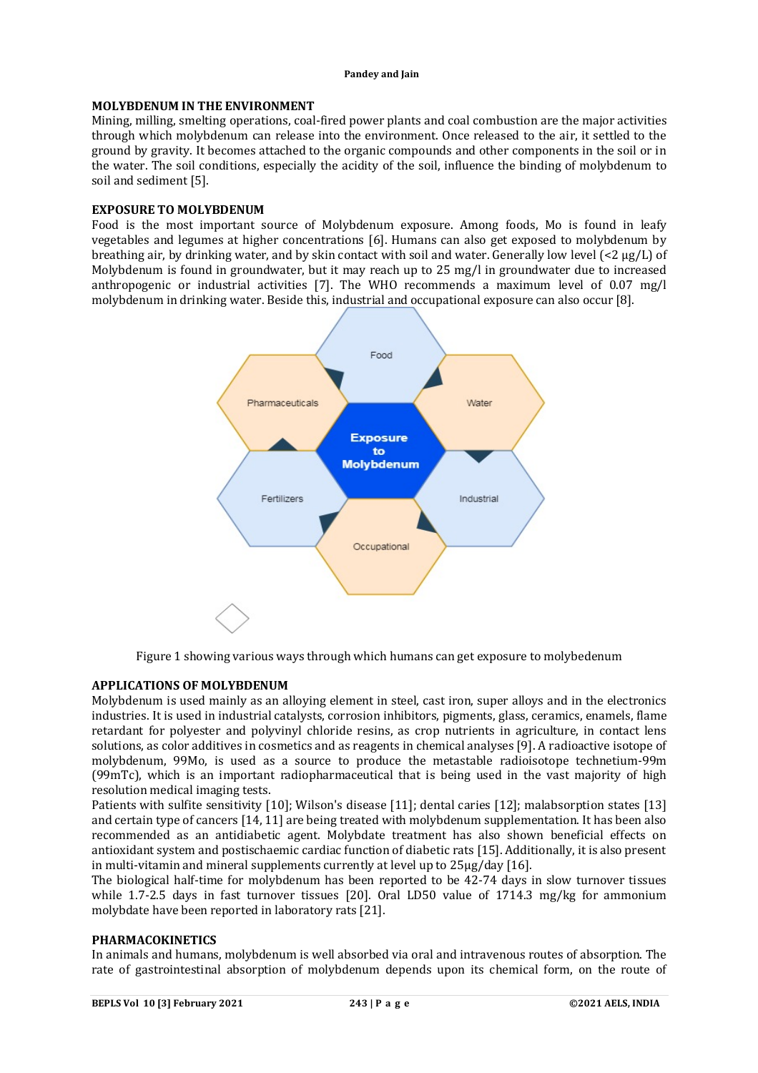# **MOLYBDENUM IN THE ENVIRONMENT**

Mining, milling, smelting operations, coal-fired power plants and coal combustion are the major activities through which molybdenum can release into the environment. Once released to the air, it settled to the ground by gravity. It becomes attached to the organic compounds and other components in the soil or in the water. The soil conditions, especially the acidity of the soil, influence the binding of molybdenum to soil and sediment [5].

## **EXPOSURE TO MOLYBDENUM**

Food is the most important source of Molybdenum exposure. Among foods, Mo is found in leafy vegetables and legumes at higher concentrations [6]. Humans can also get exposed to molybdenum by breathing air, by drinking water, and by skin contact with soil and water. Generally low level (<2 μg/L) of Molybdenum is found in groundwater, but it may reach up to 25 mg/l in groundwater due to increased anthropogenic or industrial activities [7]. The WHO recommends a maximum level of 0.07 mg/l molybdenum in drinking water. Beside this, industrial and occupational exposure can also occur [8].



Figure 1 showing various ways through which humans can get exposure to molybedenum

## **APPLICATIONS OF MOLYBDENUM**

Molybdenum is used mainly as an alloying element in steel, cast iron, super alloys and in the electronics industries. It is used in industrial catalysts, corrosion inhibitors, pigments, glass, ceramics, enamels, flame retardant for polyester and polyvinyl chloride resins, as crop nutrients in agriculture, in contact lens solutions, as color additives in cosmetics and as reagents in chemical analyses [9]. A radioactive isotope of molybdenum, 99Mo, is used as a source to produce the metastable radioisotope technetium-99m (99mTc), which is an important radiopharmaceutical that is being used in the vast majority of high resolution medical imaging tests.

Patients with sulfite sensitivity [10]; Wilson's disease [11]; dental caries [12]; malabsorption states [13] and certain type of cancers [14, 11] are being treated with molybdenum supplementation. It has been also recommended as an antidiabetic agent. Molybdate treatment has also shown beneficial effects on antioxidant system and postischaemic cardiac function of diabetic rats [15]. Additionally, it is also present in multi-vitamin and mineral supplements currently at level up to 25µg/day [16].

The biological half-time for molybdenum has been reported to be 42-74 days in slow turnover tissues while 1.7-2.5 days in fast turnover tissues [20]. Oral LD50 value of 1714.3 mg/kg for ammonium molybdate have been reported in laboratory rats [21].

## **PHARMACOKINETICS**

In animals and humans, molybdenum is well absorbed via oral and intravenous routes of absorption. The rate of gastrointestinal absorption of molybdenum depends upon its chemical form, on the route of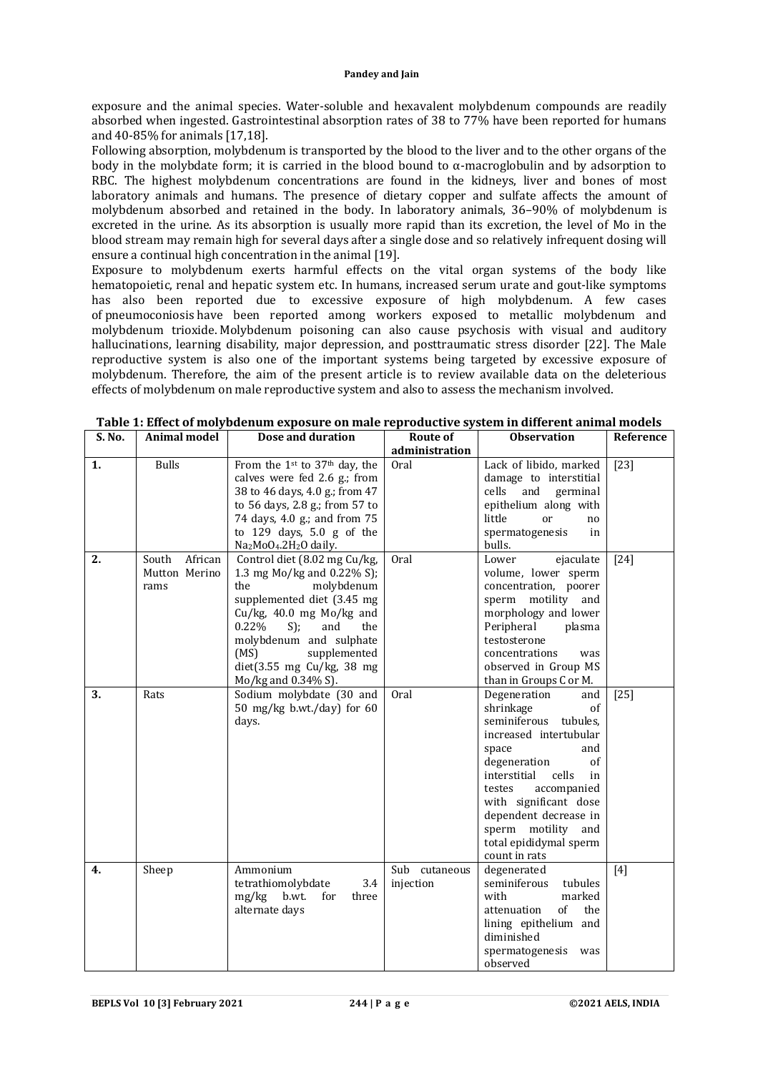exposure and the animal species. Water-soluble and hexavalent molybdenum compounds are readily absorbed when ingested. Gastrointestinal absorption rates of 38 to 77% have been reported for humans and 40-85% for animals [17,18].

Following absorption, molybdenum is transported by the blood to the liver and to the other organs of the body in the molybdate form; it is carried in the blood bound to α-macroglobulin and by adsorption to RBC. The highest molybdenum concentrations are found in the kidneys, liver and bones of most laboratory animals and humans. The presence of dietary copper and sulfate affects the amount of molybdenum absorbed and retained in the body. In laboratory animals, 36–90% of molybdenum is excreted in the urine. As its absorption is usually more rapid than its excretion, the level of Mo in the blood stream may remain high for several days after a single dose and so relatively infrequent dosing will ensure a continual high concentration in the animal [19].

Exposure to molybdenum exerts harmful effects on the vital organ systems of the body like hematopoietic, renal and hepatic system etc. In humans, increased serum urate and gout-like symptoms has also been reported due to excessive exposure of high molybdenum. A few cases of pneumoconiosis have been reported among workers exposed to metallic molybdenum and molybdenum trioxide. Molybdenum poisoning can also cause psychosis with visual and auditory hallucinations, learning disability, major depression, and posttraumatic stress disorder [22]. The Male reproductive system is also one of the important systems being targeted by excessive exposure of molybdenum. Therefore, the aim of the present article is to review available data on the deleterious effects of molybdenum on male reproductive system and also to assess the mechanism involved.

| S. No. | <b>Animal model</b> | Dose and duration                                          | Route of         | <b>Observation</b>          | Reference |
|--------|---------------------|------------------------------------------------------------|------------------|-----------------------------|-----------|
|        |                     |                                                            | administration   |                             |           |
| 1.     | <b>Bulls</b>        | From the 1st to 37th day, the                              | Oral             | Lack of libido, marked      | $[23]$    |
|        |                     | calves were fed 2.6 g.; from                               |                  | damage to interstitial      |           |
|        |                     | 38 to 46 days, 4.0 g.; from 47                             |                  | cells<br>and<br>germinal    |           |
|        |                     | to 56 days, 2.8 g.; from 57 to                             |                  | epithelium along with       |           |
|        |                     | 74 days, 4.0 g.; and from 75                               |                  | little<br>or<br>no          |           |
|        |                     | to $129$ days, $5.0$ g of the                              |                  | spermatogenesis<br>in       |           |
|        |                     | Na <sub>2</sub> MoO <sub>4</sub> .2H <sub>2</sub> O daily. |                  | bulls.                      |           |
| 2.     | African<br>South    | Control diet (8.02 mg Cu/kg,                               | Oral             | Lower<br>ejaculate          | $[24]$    |
|        | Mutton Merino       | 1.3 mg Mo/kg and 0.22% S);                                 |                  | volume, lower sperm         |           |
|        | rams                | the<br>molybdenum                                          |                  | concentration, poorer       |           |
|        |                     | supplemented diet (3.45 mg                                 |                  | sperm motility<br>and       |           |
|        |                     | $Cu/kg$ , 40.0 mg Mo/kg and                                |                  | morphology and lower        |           |
|        |                     | 0.22%<br>S);<br>and<br>the                                 |                  | Peripheral<br>plasma        |           |
|        |                     | molybdenum and sulphate                                    |                  | testosterone                |           |
|        |                     | (MS)<br>supplemented                                       |                  | concentrations<br>was       |           |
|        |                     | $dist(3.55 \text{ mg Cu/kg}, 38 \text{ mg})$               |                  | observed in Group MS        |           |
|        |                     | Mo/kg and 0.34% S).                                        |                  | than in Groups C or M.      |           |
| 3.     | Rats                | Sodium molybdate (30 and                                   | Oral             | Degeneration<br>and         | $[25]$    |
|        |                     | 50 mg/kg b.wt./day) for 60                                 |                  | shrinkage<br>οf             |           |
|        |                     | days.                                                      |                  | seminiferous<br>tubules,    |           |
|        |                     |                                                            |                  | increased intertubular      |           |
|        |                     |                                                            |                  | space<br>and                |           |
|        |                     |                                                            |                  | degeneration<br>of          |           |
|        |                     |                                                            |                  | cells<br>interstitial<br>in |           |
|        |                     |                                                            |                  | accompanied<br>testes       |           |
|        |                     |                                                            |                  | with significant dose       |           |
|        |                     |                                                            |                  | dependent decrease in       |           |
|        |                     |                                                            |                  | sperm motility and          |           |
|        |                     |                                                            |                  | total epididymal sperm      |           |
|        |                     |                                                            |                  | count in rats               |           |
| 4.     | Sheep               | Ammonium                                                   | Sub<br>cutaneous | degenerated                 | [4]       |
|        |                     | tetrathiomolybdate<br>3.4                                  | injection        | seminiferous<br>tubules     |           |
|        |                     | mg/kg b.wt.<br>for<br>three                                |                  | with<br>marked              |           |
|        |                     | alternate days                                             |                  | of<br>attenuation<br>the    |           |
|        |                     |                                                            |                  | lining epithelium and       |           |
|        |                     |                                                            |                  | diminished                  |           |
|        |                     |                                                            |                  | spermatogenesis<br>was      |           |
|        |                     |                                                            |                  | observed                    |           |

|  | Table 1: Effect of molybdenum exposure on male reproductive system in different animal models |  |  |  |  |  |
|--|-----------------------------------------------------------------------------------------------|--|--|--|--|--|
|--|-----------------------------------------------------------------------------------------------|--|--|--|--|--|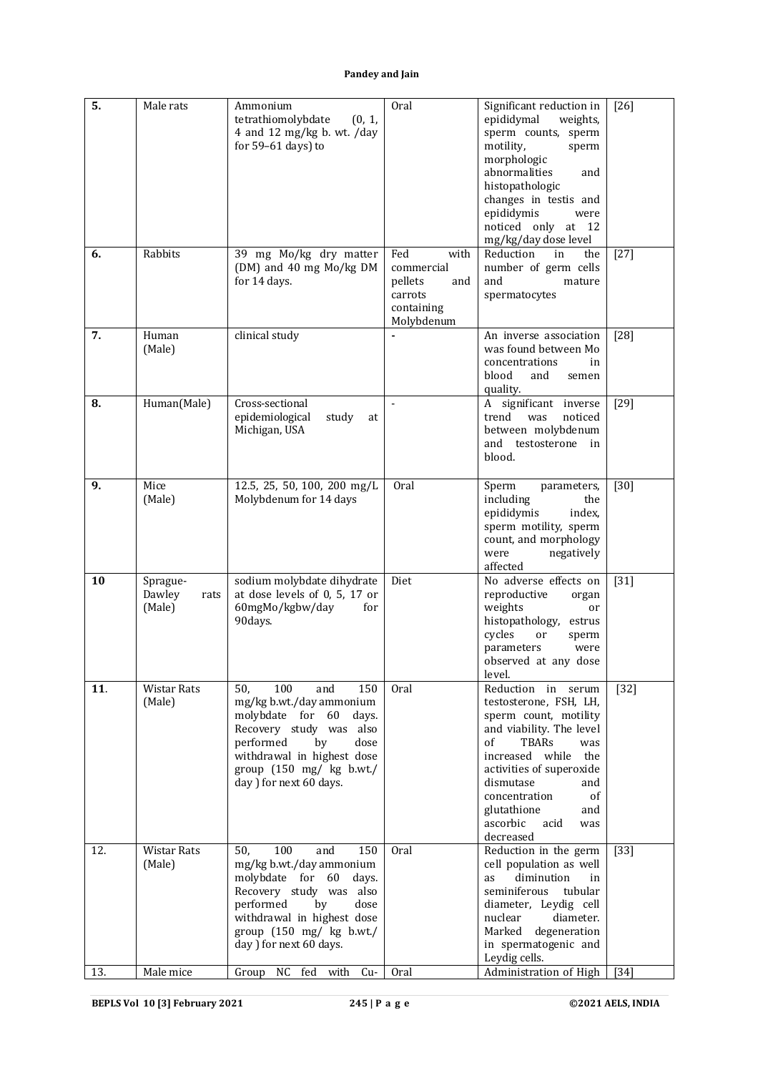| 5.  | Male rats                            | Ammonium<br>tetrathiomolybdate<br>(0, 1,<br>4 and 12 mg/kg b. wt. /day<br>for 59-61 days) to                                                                                                                                                                        | Oral                                                                               | Significant reduction in<br>epididymal<br>weights,<br>sperm counts, sperm<br>motility,<br>sperm                                                                                                                                                                                        | $[26]$ |
|-----|--------------------------------------|---------------------------------------------------------------------------------------------------------------------------------------------------------------------------------------------------------------------------------------------------------------------|------------------------------------------------------------------------------------|----------------------------------------------------------------------------------------------------------------------------------------------------------------------------------------------------------------------------------------------------------------------------------------|--------|
|     |                                      |                                                                                                                                                                                                                                                                     |                                                                                    | morphologic<br>abnormalities<br>and<br>histopathologic<br>changes in testis and<br>epididymis<br>were                                                                                                                                                                                  |        |
|     |                                      |                                                                                                                                                                                                                                                                     |                                                                                    | noticed only at 12<br>mg/kg/day dose level                                                                                                                                                                                                                                             |        |
| 6.  | Rabbits                              | 39 mg Mo/kg dry matter<br>(DM) and 40 mg Mo/kg DM<br>for 14 days.                                                                                                                                                                                                   | Fed<br>with<br>commercial<br>pellets<br>and<br>carrots<br>containing<br>Molybdenum | Reduction<br>the<br>in<br>number of germ cells<br>and<br>mature<br>spermatocytes                                                                                                                                                                                                       | $[27]$ |
| 7.  | Human<br>(Male)                      | clinical study                                                                                                                                                                                                                                                      |                                                                                    | An inverse association<br>was found between Mo<br>concentrations<br>in<br>blood<br>and<br>semen<br>quality.                                                                                                                                                                            | $[28]$ |
| 8.  | Human(Male)                          | Cross-sectional<br>epidemiological<br>study<br>at<br>Michigan, USA                                                                                                                                                                                                  | $\overline{a}$                                                                     | A significant inverse<br>trend<br>was<br>noticed<br>between molybdenum<br>and testosterone in<br>blood.                                                                                                                                                                                | $[29]$ |
| 9.  | Mice<br>(Male)                       | 12.5, 25, 50, 100, 200 mg/L<br>Molybdenum for 14 days                                                                                                                                                                                                               | <b>Oral</b>                                                                        | Sperm<br>parameters,<br>including<br>the<br>epididymis<br>index,<br>sperm motility, sperm<br>count, and morphology<br>were<br>negatively<br>affected                                                                                                                                   | $[30]$ |
| 10  | Sprague-<br>Dawley<br>rats<br>(Male) | sodium molybdate dihydrate<br>at dose levels of 0, 5, 17 or<br>60mgMo/kgbw/day<br>for<br>90days.                                                                                                                                                                    | Diet                                                                               | No adverse effects on<br>reproductive<br>organ<br>weights<br>or<br>histopathology,<br>estrus<br>cycles<br>or<br>sperm<br>parameters<br>were<br>observed at any dose<br>level.                                                                                                          | $[31]$ |
| 11. | Wistar Rats<br>(Male)                | 50,<br>100<br>and<br>150<br>mg/kg b.wt./day ammonium<br>molybdate for 60<br>days.<br>Recovery study was also<br>performed<br>by<br>dose<br>withdrawal in highest dose<br>group $(150 \text{ mg}/ \text{ kg} \text{ b} \cdot \text{wt.})$<br>day ) for next 60 days. | Oral                                                                               | Reduction in serum<br>testosterone, FSH, LH,<br>sperm count, motility<br>and viability. The level<br>of<br>TBARs<br>was<br>increased while<br>the<br>activities of superoxide<br>dismutase<br>and<br>concentration<br>0f<br>glutathione<br>and<br>ascorbic<br>acid<br>was<br>decreased | $[32]$ |
| 12. | Wistar Rats<br>(Male)                | 100<br>150<br>50.<br>and<br>mg/kg b.wt./day ammonium<br>molybdate for 60<br>days.<br>Recovery study was also<br>performed<br>by<br>dose<br>withdrawal in highest dose<br>group $(150 \text{ mg}/ \text{ kg} \text{ b} \cdot \text{wt.})$<br>day ) for next 60 days. | Oral                                                                               | Reduction in the germ<br>cell population as well<br>diminution<br>as<br>in<br>seminiferous<br>tubular<br>diameter, Leydig cell<br>diameter.<br>nuclear<br>Marked degeneration<br>in spermatogenic and<br>Leydig cells.                                                                 | $[33]$ |
| 13. | Male mice                            | Group NC fed with Cu-                                                                                                                                                                                                                                               | Oral                                                                               | Administration of High                                                                                                                                                                                                                                                                 | $[34]$ |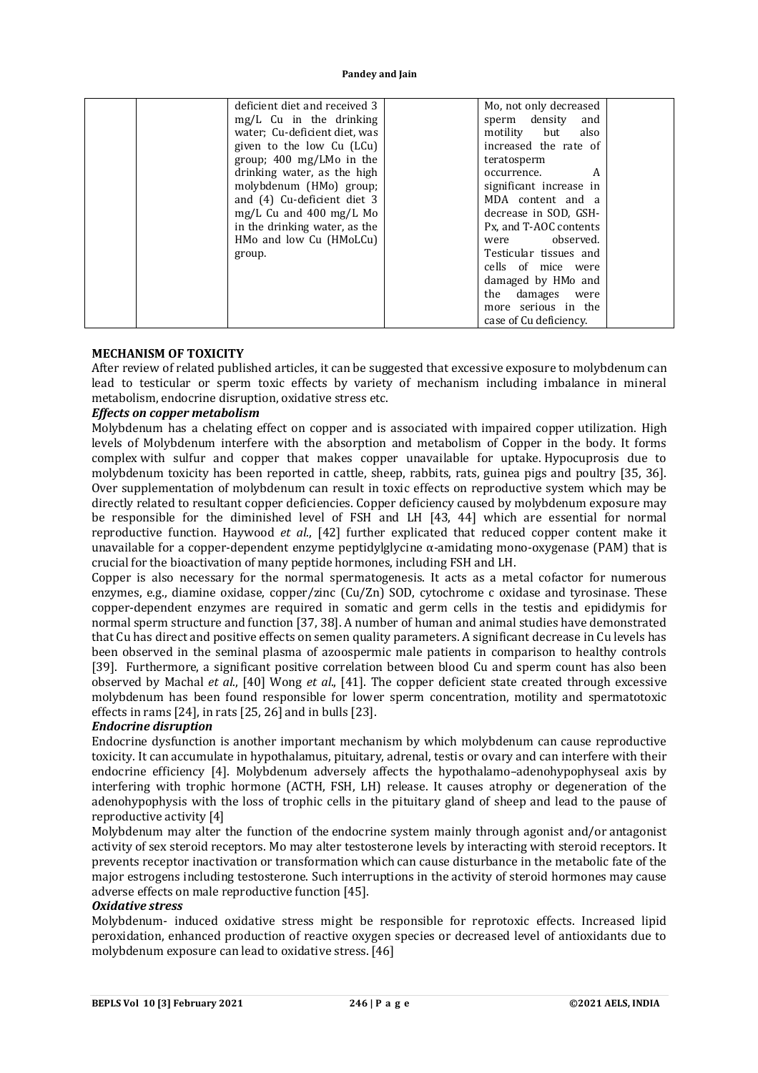|        | deficient diet and received 3      | Mo, not only decreased  |  |
|--------|------------------------------------|-------------------------|--|
|        | mg/L Cu in the drinking            | sperm density<br>and    |  |
|        | water; Cu-deficient diet, was      | motility but<br>also    |  |
|        | given to the low Cu (LCu)          | increased the rate of   |  |
|        | group; $400 \text{ mg/LMo}$ in the | teratosperm             |  |
|        | drinking water, as the high        | occurrence.<br>A        |  |
|        | molybdenum (HMo) group;            | significant increase in |  |
|        | and (4) Cu-deficient diet 3        | MDA content and a       |  |
|        | $mg/L$ Cu and 400 mg/L Mo          | decrease in SOD, GSH-   |  |
|        | in the drinking water, as the      | Px, and T-AOC contents  |  |
|        | HMo and low Cu (HMoLCu)            | were observed.          |  |
| group. |                                    | Testicular tissues and  |  |
|        |                                    | cells of mice were      |  |
|        |                                    | damaged by HMo and      |  |
|        |                                    | the damages were        |  |
|        |                                    | more serious in the     |  |
|        |                                    | case of Cu deficiency.  |  |

#### **MECHANISM OF TOXICITY**

After review of related published articles, it can be suggested that excessive exposure to molybdenum can lead to testicular or sperm toxic effects by variety of mechanism including imbalance in mineral metabolism, endocrine disruption, oxidative stress etc.

# *Effects on copper metabolism*

Molybdenum has a chelating effect on copper and is associated with impaired copper utilization. High levels of Molybdenum interfere with the absorption and metabolism of Copper in the body. It forms complex with sulfur and copper that makes copper unavailable for uptake. Hypocuprosis due to molybdenum toxicity has been reported in cattle, sheep, rabbits, rats, guinea pigs and poultry [35, 36]. Over supplementation of molybdenum can result in toxic effects on reproductive system which may be directly related to resultant copper deficiencies. Copper deficiency caused by molybdenum exposure may be responsible for the diminished level of FSH and LH [43, 44] which are essential for normal reproductive function. Haywood *et al*., [42] further explicated that reduced copper content make it unavailable for a copper-dependent enzyme peptidylglycine  $\alpha$ -amidating mono-oxygenase (PAM) that is crucial for the bioactivation of many peptide hormones, including FSH and LH.

Copper is also necessary for the normal spermatogenesis. It acts as a metal cofactor for numerous enzymes, e.g., diamine oxidase, copper/zinc (Cu/Zn) SOD, cytochrome c oxidase and tyrosinase. These copper-dependent enzymes are required in somatic and germ cells in the testis and epididymis for normal sperm structure and function [37, 38]. A number of human and animal studies have demonstrated that Cu has direct and positive effects on semen quality parameters. A significant decrease in Cu levels has been observed in the seminal plasma of azoospermic male patients in comparison to healthy controls [39]. Furthermore, a significant positive correlation between blood Cu and sperm count has also been observed by Machal *et al*., [40] Wong *et al*., [41]. The copper deficient state created through excessive molybdenum has been found responsible for lower sperm concentration, motility and spermatotoxic effects in rams [24], in rats [25, 26] and in bulls [23].

## *Endocrine disruption*

Endocrine dysfunction is another important mechanism by which molybdenum can cause reproductive toxicity. It can accumulate in hypothalamus, pituitary, adrenal, testis or ovary and can interfere with their endocrine efficiency [4]. Molybdenum adversely affects the hypothalamo–adenohypophyseal axis by interfering with trophic hormone (ACTH, FSH, LH) release. It causes atrophy or degeneration of the adenohypophysis with the loss of trophic cells in the pituitary gland of sheep and lead to the pause of reproductive activity [4]

Molybdenum may alter the function of the endocrine system mainly through agonist and/or antagonist activity of sex steroid receptors. Mo may alter testosterone levels by interacting with steroid receptors. It prevents receptor inactivation or transformation which can cause disturbance in the metabolic fate of the major estrogens including testosterone. Such interruptions in the activity of steroid hormones may cause adverse effects on male reproductive function [45].

### *Oxidative stress*

Molybdenum- induced oxidative stress might be responsible for reprotoxic effects. Increased lipid peroxidation, enhanced production of reactive oxygen species or decreased level of antioxidants due to molybdenum exposure can lead to oxidative stress. [46]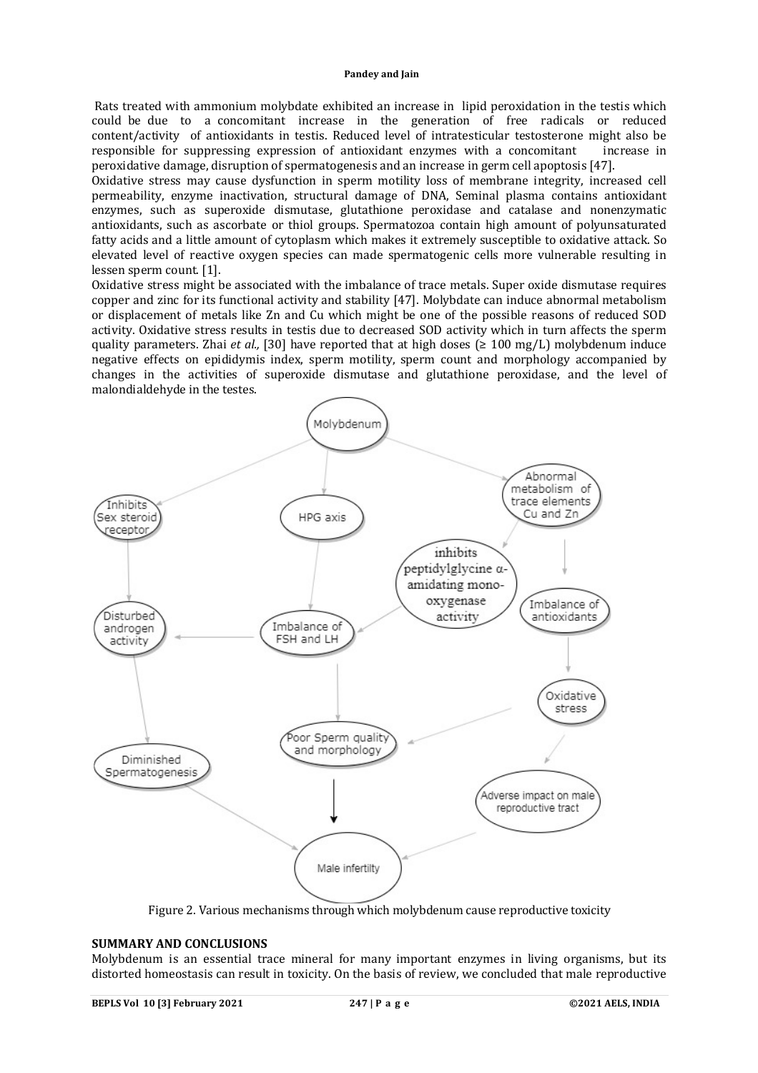Rats treated with ammonium molybdate exhibited an increase in lipid peroxidation in the testis which could be due to a concomitant increase in the generation of free radicals or reduced content/activity of antioxidants in testis. Reduced level of intratesticular testosterone might also be responsible for suppressing expression of antioxidant enzymes with a concomitant increase in peroxidative damage, disruption of spermatogenesis and an increase in germ cell apoptosis [47].

Oxidative stress may cause dysfunction in sperm motility loss of membrane integrity, increased cell permeability, enzyme inactivation, structural damage of DNA, Seminal plasma contains antioxidant enzymes, such as superoxide dismutase, glutathione peroxidase and catalase and nonenzymatic antioxidants, such as ascorbate or thiol groups. Spermatozoa contain high amount of polyunsaturated fatty acids and a little amount of cytoplasm which makes it extremely susceptible to oxidative attack. So elevated level of reactive oxygen species can made spermatogenic cells more vulnerable resulting in lessen sperm count. [1].

Oxidative stress might be associated with the imbalance of trace metals. Super oxide dismutase requires copper and zinc for its functional activity and stability [47]. Molybdate can induce abnormal metabolism or displacement of metals like Zn and Cu which might be one of the possible reasons of reduced SOD activity. Oxidative stress results in testis due to decreased SOD activity which in turn affects the sperm quality parameters. Zhai *et al.*, [30] have reported that at high doses ( $\geq 100$  mg/L) molybdenum induce negative effects on epididymis index, sperm motility, sperm count and morphology accompanied by changes in the activities of superoxide dismutase and glutathione peroxidase, and the level of malondialdehyde in the testes.



Figure 2. Various mechanisms through which molybdenum cause reproductive toxicity

## **SUMMARY AND CONCLUSIONS**

Molybdenum is an essential trace mineral for many important enzymes in living organisms, but its distorted homeostasis can result in toxicity. On the basis of review, we concluded that male reproductive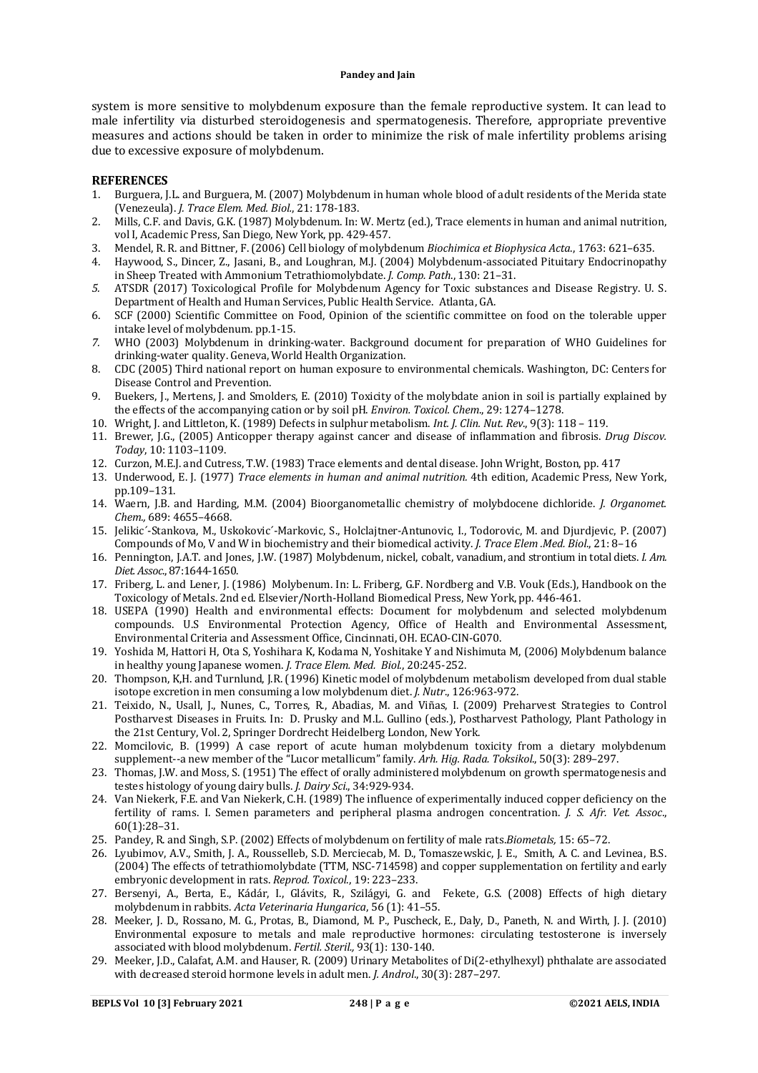system is more sensitive to molybdenum exposure than the female reproductive system. It can lead to male infertility via disturbed steroidogenesis and spermatogenesis. Therefore, appropriate preventive measures and actions should be taken in order to minimize the risk of male infertility problems arising due to excessive exposure of molybdenum.

#### **REFERENCES**

- 1. Burguera, J.L. and Burguera, M. (2007) Molybdenum in human whole blood of adult residents of the Merida state (Venezeula). *J. Trace Elem. Med. Biol.*, 21: 178-183.
- 2. Mills, C.F. and Davis, G.K. (1987) Molybdenum. In: W. Mertz (ed.), Trace elements in human and animal nutrition, vol I, Academic Press, San Diego, New York, pp. 429-457.
- 3. Mendel, R. R. and Bittner, F. (2006) Cell biology of molybdenum *Biochimica et Biophysica Acta*., 1763: 621–635.
- 4. Haywood, S., Dincer, Z., Jasani, B., and Loughran, M.J. (2004) Molybdenum-associated Pituitary Endocrinopathy in Sheep Treated with Ammonium Tetrathiomolybdate. *J. Comp. Path*., 130: 21–31.
- *5.* ATSDR (2017) Toxicological Profile for Molybdenum Agency for Toxic substances and Disease Registry. U. S. Department of Health and Human Services, Public Health Service. Atlanta, GA.
- 6. SCF (2000) Scientific Committee on Food, Opinion of the scientific committee on food on the tolerable upper intake level of molybdenum. pp.1-15.
- *7.* WHO (2003) Molybdenum in drinking-water. Background document for preparation of WHO Guidelines for drinking-water quality. Geneva, World Health Organization.
- 8. CDC (2005) Third national report on human exposure to environmental chemicals. Washington, DC: Centers for Disease Control and Prevention.
- 9. Buekers, J., Mertens, J. and Smolders, E. (2010) Toxicity of the molybdate anion in soil is partially explained by the effects of the accompanying cation or by soil pH. *Environ. Toxicol. Chem*., 29: 1274–1278.
- 10. Wright, J. and Littleton, K. (1989) Defects in sulphur metabolism. *Int. J. Clin. Nut. Rev*., 9(3): 118 119.
- 11. Brewer, J.G., (2005) Anticopper therapy against cancer and disease of inflammation and fibrosis. *Drug Discov. Today*, 10: 1103–1109.
- 12. Curzon, M.E.J. and Cutress, T.W. (1983) Trace elements and dental disease. John Wright, Boston, pp. 417
- 13. Underwood, E. J. (1977) *Trace elements in human and animal nutrition.* 4th edition, Academic Press, New York, pp.109–131.
- 14. Waern, J.B. and Harding, M.M. (2004) Bioorganometallic chemistry of molybdocene dichloride. *J. Organomet. Chem.,* 689: 4655–4668.
- 15. Jelikic´-Stankova, M., Uskokovic´-Markovic, S., Holclajtner-Antunovic, I., Todorovic, M. and Djurdjevic, P. (2007) Compounds of Mo, V and W in biochemistry and their biomedical activity. *J. Trace Elem .Med. Biol*., 21: 8–16
- 16. Pennington, J.A.T. and Jones, J.W. (1987) Molybdenum, nickel, cobalt, vanadium, and strontium in total diets. *I. Am. Diet. Assoc*., 87:1644-1650.
- 17. Friberg, L. and Lener, J. (1986) Molybenum. In: L. Friberg, G.F. Nordberg and V.B. Vouk (Eds.), Handbook on the Toxicology of Metals. 2nd ed. Elsevier/North-Holland Biomedical Press, New York, pp. 446-461.
- 18. USEPA (1990) Health and environmental effects: Document for molybdenum and selected molybdenum compounds. U.S Environmental Protection Agency, Office of Health and Environmental Assessment, Environmental Criteria and Assessment Office, Cincinnati, OH. ECAO-CIN-G070.
- 19. Yoshida M, Hattori H, Ota S, Yoshihara K, Kodama N, Yoshitake Y and Nishimuta M, (2006) Molybdenum balance in healthy young Japanese women. *J. Trace Elem. Med. Biol.*, 20:245-252.
- 20. Thompson, K,H. and Turnlund, J.R. (1996) Kinetic model of molybdenum metabolism developed from dual stable isotope excretion in men consuming a low molybdenum diet. *J. Nutr*., 126:963-972.
- 21. Teixido, N., Usall, J., Nunes, C., Torres, R., Abadias, M. and Viñas, I. (2009) Preharvest Strategies to Control Postharvest Diseases in Fruits. In: D. Prusky and M.L. Gullino (eds.), Postharvest Pathology, Plant Pathology in the 21st Century, Vol. 2, Springer Dordrecht Heidelberg London, New York.
- 22. Momcilovic, B. (1999) A case report of acute human molybdenum toxicity from a dietary molybdenum supplement--a new member of the "Lucor metallicum" family. *Arh. Hig. Rada. Toksikol*., 50(3): 289–297.
- 23. Thomas, J.W. and Moss, S. (1951) The effect of orally administered molybdenum on growth spermatogenesis and testes histology of young dairy bulls. *J. Dairy Sci*., 34:929-934.
- 24. Van Niekerk, F.E. and Van Niekerk, C.H. (1989) The influence of experimentally induced copper deficiency on the fertility of rams. I. Semen parameters and peripheral plasma androgen concentration. *J. S. Afr. Vet. Assoc*., 60(1):28–31.
- 25. Pandey, R. and Singh, S.P. (2002) Effects of molybdenum on fertility of male rats.*Biometals,* 15: 65–72.
- 26. Lyubimov, A.V., Smith, J. A., Rousselleb, S.D. Merciecab, M. D., Tomaszewskic, J. E., Smith, A. C. and Levinea, B.S. (2004) The effects of tetrathiomolybdate (TTM, NSC-714598) and copper supplementation on fertility and early embryonic development in rats. *Reprod. Toxicol*., 19: 223–233.
- 27. Bersenyi, A., Berta, E., Kádár, I., Glávits, R., Szilágyi, G. and Fekete, G.S. (2008) Effects of high dietary molybdenum in rabbits. *Acta Veterinaria Hungarica*, 56 (1): 41–55.
- 28. Meeker, J. D., Rossano, M. G., Protas, B., Diamond, M. P., Puscheck, E., Daly, D., Paneth, N. and Wirth, J. J. (2010) Environmental exposure to metals and male reproductive hormones: circulating testosterone is inversely associated with blood molybdenum. *Fertil. Steril.,* 93(1): 130-140.
- 29. Meeker, J.D., Calafat, A.M. and Hauser, R. (2009) Urinary Metabolites of Di(2-ethylhexyl) phthalate are associated with decreased steroid hormone levels in adult men. *J. Androl*., 30(3): 287–297.